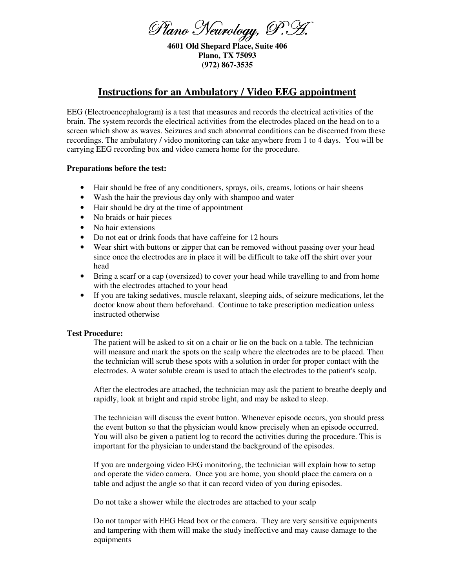Plano Neurology, P.'L.

**4601 Old Shepard Place, Suite 406 Plano, TX 75093 (972) 867-3535** 

## **Instructions for an Ambulatory / Video EEG appointment**

EEG (Electroencephalogram) is a test that measures and records the electrical activities of the brain. The system records the electrical activities from the electrodes placed on the head on to a screen which show as waves. Seizures and such abnormal conditions can be discerned from these recordings. The ambulatory / video monitoring can take anywhere from 1 to 4 days. You will be carrying EEG recording box and video camera home for the procedure.

## **Preparations before the test:**

- Hair should be free of any conditioners, sprays, oils, creams, lotions or hair sheens
- Wash the hair the previous day only with shampoo and water
- Hair should be dry at the time of appointment
- No braids or hair pieces
- No hair extensions
- Do not eat or drink foods that have caffeine for 12 hours
- Wear shirt with buttons or zipper that can be removed without passing over your head since once the electrodes are in place it will be difficult to take off the shirt over your head
- Bring a scarf or a cap (oversized) to cover your head while travelling to and from home with the electrodes attached to your head
- If you are taking sedatives, muscle relaxant, sleeping aids, of seizure medications, let the doctor know about them beforehand. Continue to take prescription medication unless instructed otherwise

## **Test Procedure:**

The patient will be asked to sit on a chair or lie on the back on a table. The technician will measure and mark the spots on the scalp where the electrodes are to be placed. Then the technician will scrub these spots with a solution in order for proper contact with the electrodes. A water soluble cream is used to attach the electrodes to the patient's scalp.

After the electrodes are attached, the technician may ask the patient to breathe deeply and rapidly, look at bright and rapid strobe light, and may be asked to sleep.

The technician will discuss the event button. Whenever episode occurs, you should press the event button so that the physician would know precisely when an episode occurred. You will also be given a patient log to record the activities during the procedure. This is important for the physician to understand the background of the episodes.

If you are undergoing video EEG monitoring, the technician will explain how to setup and operate the video camera. Once you are home, you should place the camera on a table and adjust the angle so that it can record video of you during episodes.

Do not take a shower while the electrodes are attached to your scalp

Do not tamper with EEG Head box or the camera. They are very sensitive equipments and tampering with them will make the study ineffective and may cause damage to the equipments